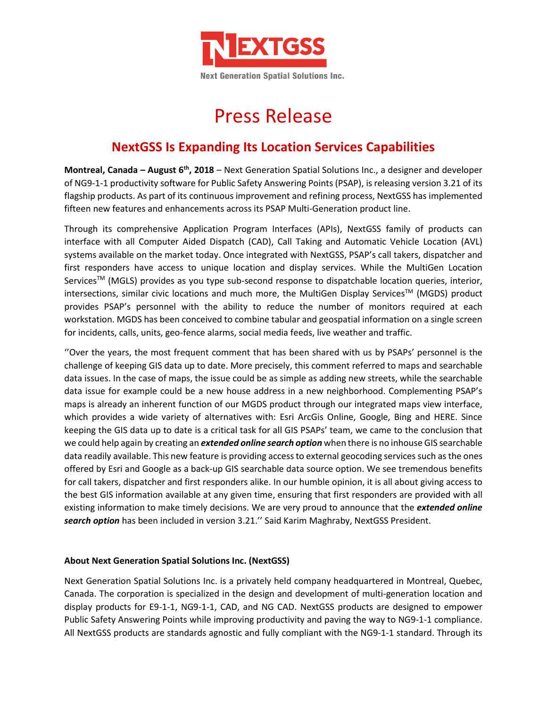

## Press Release

## **NextGSS Is Expanding Its Location Services Capabilities**

**Montreal, Canada – August 6 th, 2018** – Next Generation Spatial Solutions Inc., a designer and developer of NG9-1-1 productivity software for Public Safety Answering Points (PSAP), is releasing version 3.21 of its flagship products. As part of its continuous improvement and refining process, NextGSS has implemented fifteen new features and enhancements across its PSAP Multi-Generation product line.

Through its comprehensive Application Program Interfaces (APIs), NextGSS family of products can interface with all Computer Aided Dispatch (CAD), Call Taking and Automatic Vehicle Location (AVL) systems available on the market today. Once integrated with NextGSS, PSAP's call takers, dispatcher and first responders have access to unique location and display services. While the MultiGen Location Services<sup>TM</sup> (MGLS) provides as you type sub-second response to dispatchable location queries, interior, intersections, similar civic locations and much more, the MultiGen Display Services<sup>TM</sup> (MGDS) product provides PSAP's personnel with the ability to reduce the number of monitors required at each workstation. MGDS has been conceived to combine tabular and geospatial information on a single screen for incidents, calls, units, geo-fence alarms, social media feeds, live weather and traffic.

''Over the years, the most frequent comment that has been shared with us by PSAPs' personnel is the challenge of keeping GIS data up to date. More precisely, this comment referred to maps and searchable data issues. In the case of maps, the issue could be as simple as adding new streets, while the searchable data issue for example could be a new house address in a new neighborhood. Complementing PSAP's maps is already an inherent function of our MGDS product through our integrated maps view interface, which provides a wide variety of alternatives with: Esri ArcGis Online, Google, Bing and HERE. Since keeping the GIS data up to date is a critical task for all GIS PSAPs' team, we came to the conclusion that we could help again by creating an *extended online search option* when there is no inhouse GIS searchable data readily available. This new feature is providing access to external geocoding services such as the ones offered by Esri and Google as a back-up GIS searchable data source option. We see tremendous benefits for call takers, dispatcher and first responders alike. In our humble opinion, it is all about giving access to the best GIS information available at any given time, ensuring that first responders are provided with all existing information to make timely decisions. We are very proud to announce that the *extended online search option* has been included in version 3.21.'' Said Karim Maghraby, NextGSS President.

## **About Next Generation Spatial Solutions Inc. (NextGSS)**

Next Generation Spatial Solutions Inc. is a privately held company headquartered in Montreal, Quebec, Canada. The corporation is specialized in the design and development of multi-generation location and display products for E9-1-1, NG9-1-1, CAD, and NG CAD. NextGSS products are designed to empower Public Safety Answering Points while improving productivity and paving the way to NG9-1-1 compliance. All NextGSS products are standards agnostic and fully compliant with the NG9-1-1 standard. Through its